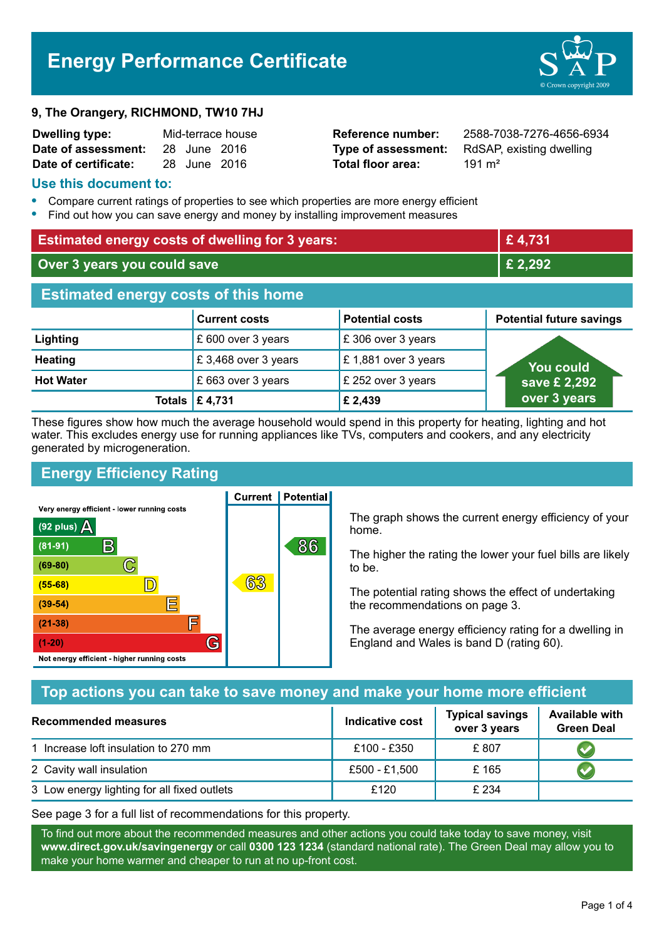# **Energy Performance Certificate**

#### **9, The Orangery, RICHMOND, TW10 7HJ**

| <b>Dwelling type:</b> | Mid-terrace house |              |  |
|-----------------------|-------------------|--------------|--|
| Date of assessment:   |                   | 28 June 2016 |  |
| Date of certificate:  |                   | 28 June 2016 |  |

**Total floor area:** 291 m<sup>2</sup>

**Reference number:** 2588-7038-7276-4656-6934 **Type of assessment:** RdSAP, existing dwelling

#### **Use this document to:**

- **•** Compare current ratings of properties to see which properties are more energy efficient
- **•** Find out how you can save energy and money by installing improvement measures

| <b>Estimated energy costs of dwelling for 3 years:</b> |                      | £4,731                 |                                 |  |
|--------------------------------------------------------|----------------------|------------------------|---------------------------------|--|
| Over 3 years you could save                            |                      | £ 2,292                |                                 |  |
| <b>Estimated energy costs of this home</b>             |                      |                        |                                 |  |
|                                                        | <b>Current costs</b> | <b>Potential costs</b> | <b>Potential future savings</b> |  |
| Lighting                                               | £ 600 over 3 years   | £ 306 over 3 years     |                                 |  |
| <b>Heating</b>                                         | £3,468 over 3 years  | £1,881 over 3 years    | You could                       |  |
| <b>Hot Water</b>                                       | £ 663 over 3 years   | £ 252 over 3 years     | save £ 2,292                    |  |
| Totals                                                 | E 4,731              | £ 2,439                | over 3 years                    |  |

These figures show how much the average household would spend in this property for heating, lighting and hot water. This excludes energy use for running appliances like TVs, computers and cookers, and any electricity generated by microgeneration.

**Current | Potential** 

## **Energy Efficiency Rating**

Very energy efficient - lower running costs



The graph shows the current energy efficiency of your home.

The higher the rating the lower your fuel bills are likely to be.

The potential rating shows the effect of undertaking the recommendations on page 3.

The average energy efficiency rating for a dwelling in England and Wales is band D (rating 60).

## **Top actions you can take to save money and make your home more efficient**

| <b>Recommended measures</b>                 | Indicative cost | <b>Typical savings</b><br>over 3 years | <b>Available with</b><br><b>Green Deal</b> |
|---------------------------------------------|-----------------|----------------------------------------|--------------------------------------------|
| 1 Increase loft insulation to 270 mm        | £100 - £350     | £807                                   |                                            |
| 2 Cavity wall insulation                    | £500 - £1,500   | £165                                   |                                            |
| 3 Low energy lighting for all fixed outlets | £120            | £ 234                                  |                                            |

See page 3 for a full list of recommendations for this property.

To find out more about the recommended measures and other actions you could take today to save money, visit **www.direct.gov.uk/savingenergy** or call **0300 123 1234** (standard national rate). The Green Deal may allow you to make your home warmer and cheaper to run at no up-front cost.

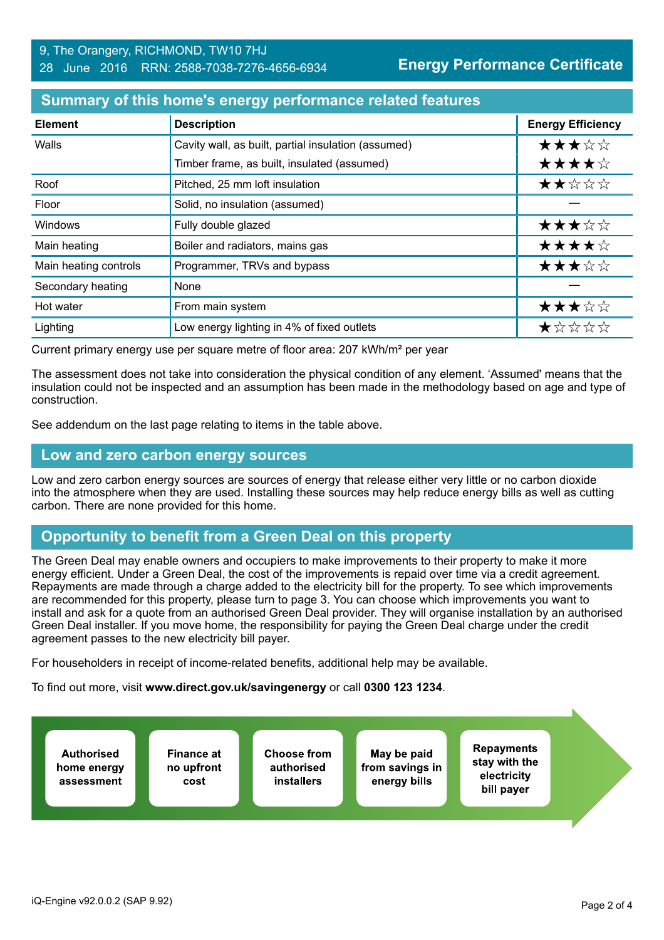### **Summary of this home's energy performance related features**

| <b>Element</b>        | <b>Description</b>                                  | <b>Energy Efficiency</b> |
|-----------------------|-----------------------------------------------------|--------------------------|
| Walls                 | Cavity wall, as built, partial insulation (assumed) | ★★★☆☆                    |
|                       | Timber frame, as built, insulated (assumed)         | ★★★★☆                    |
| Roof                  | Pitched, 25 mm loft insulation                      | ★★☆☆☆                    |
| Floor                 | Solid, no insulation (assumed)                      |                          |
| <b>Windows</b>        | Fully double glazed                                 | ★★★☆☆                    |
| Main heating          | Boiler and radiators, mains gas                     | ★★★★☆                    |
| Main heating controls | Programmer, TRVs and bypass                         | ★★★☆☆                    |
| Secondary heating     | None                                                |                          |
| Hot water             | From main system                                    | ★★★☆☆                    |
| Lighting              | Low energy lighting in 4% of fixed outlets          | ★☆☆☆☆                    |

Current primary energy use per square metre of floor area: 207 kWh/m² per year

The assessment does not take into consideration the physical condition of any element. 'Assumed' means that the insulation could not be inspected and an assumption has been made in the methodology based on age and type of construction.

See addendum on the last page relating to items in the table above.

#### **Low and zero carbon energy sources**

Low and zero carbon energy sources are sources of energy that release either very little or no carbon dioxide into the atmosphere when they are used. Installing these sources may help reduce energy bills as well as cutting carbon. There are none provided for this home.

## **Opportunity to benefit from a Green Deal on this property**

The Green Deal may enable owners and occupiers to make improvements to their property to make it more energy efficient. Under a Green Deal, the cost of the improvements is repaid over time via a credit agreement. Repayments are made through a charge added to the electricity bill for the property. To see which improvements are recommended for this property, please turn to page 3. You can choose which improvements you want to install and ask for a quote from an authorised Green Deal provider. They will organise installation by an authorised Green Deal installer. If you move home, the responsibility for paying the Green Deal charge under the credit agreement passes to the new electricity bill payer.

For householders in receipt of income-related benefits, additional help may be available.

To find out more, visit **www.direct.gov.uk/savingenergy** or call **0300 123 1234**.

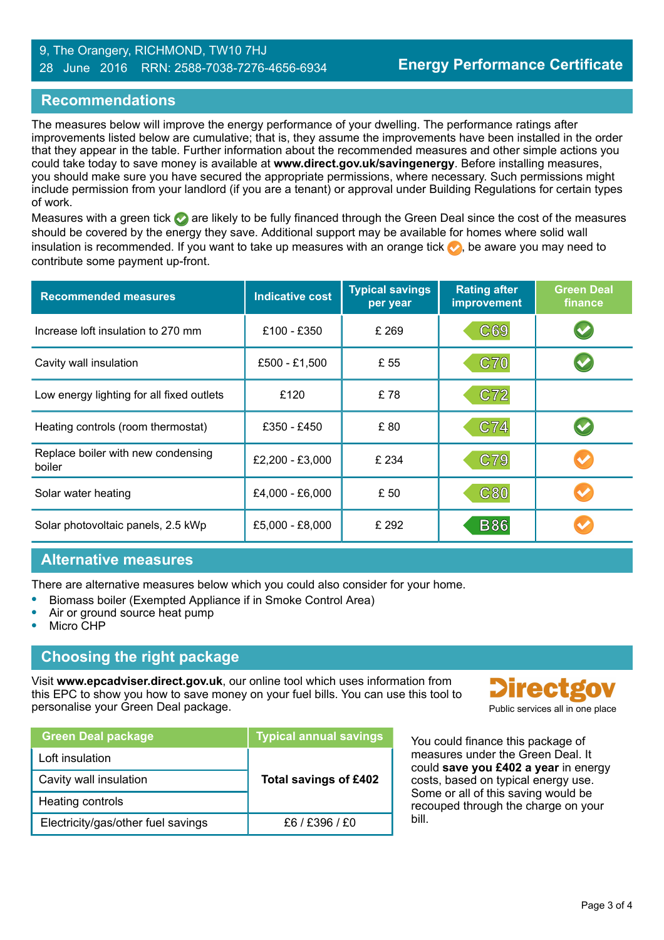#### 9, The Orangery, RICHMOND, TW10 7HJ 28 June 2016 RRN: 2588-7038-7276-4656-6934

## **Recommendations**

The measures below will improve the energy performance of your dwelling. The performance ratings after improvements listed below are cumulative; that is, they assume the improvements have been installed in the order that they appear in the table. Further information about the recommended measures and other simple actions you could take today to save money is available at **www.direct.gov.uk/savingenergy**. Before installing measures, you should make sure you have secured the appropriate permissions, where necessary. Such permissions might include permission from your landlord (if you are a tenant) or approval under Building Regulations for certain types of work.

Measures with a green tick are likely to be fully financed through the Green Deal since the cost of the measures should be covered by the energy they save. Additional support may be available for homes where solid wall insulation is recommended. If you want to take up measures with an orange tick  $\bullet$ , be aware you may need to contribute some payment up-front.

| <b>Recommended measures</b>                  | <b>Indicative cost</b> | <b>Typical savings</b><br>per year | <b>Rating after</b><br>improvement | <b>Green Deal</b><br>finance |
|----------------------------------------------|------------------------|------------------------------------|------------------------------------|------------------------------|
| Increase loft insulation to 270 mm           | £100 - £350            | £ 269                              | C69                                |                              |
| Cavity wall insulation                       | £500 - £1,500          | £ 55                               | C70                                |                              |
| Low energy lighting for all fixed outlets    | £120                   | £78                                | C72                                |                              |
| Heating controls (room thermostat)           | £350 - £450            | £80                                | C74                                |                              |
| Replace boiler with new condensing<br>boiler | £2,200 - £3,000        | £ 234                              | C79                                |                              |
| Solar water heating                          | £4,000 - £6,000        | £ 50                               | <b>C80</b>                         |                              |
| Solar photovoltaic panels, 2.5 kWp           | £5,000 - £8,000        | £ 292                              | <b>B86</b>                         |                              |

## **Alternative measures**

There are alternative measures below which you could also consider for your home.

- **•** Biomass boiler (Exempted Appliance if in Smoke Control Area)
- **•** Air or ground source heat pump
- **•** Micro CHP

## **Choosing the right package**

Visit **www.epcadviser.direct.gov.uk**, our online tool which uses information from this EPC to show you how to save money on your fuel bills. You can use this tool to personalise your Green Deal package. **Public services all in one place** part of the place of the place of the place

| <b>Green Deal package</b>          | <b>Typical annual savings</b> |
|------------------------------------|-------------------------------|
| Loft insulation                    |                               |
| Cavity wall insulation             | Total savings of £402         |
| Heating controls                   |                               |
| Electricity/gas/other fuel savings | £6/£396/£0                    |



You could finance this package of measures under the Green Deal. It could **save you £402 a year** in energy costs, based on typical energy use. Some or all of this saving would be recouped through the charge on your bill.